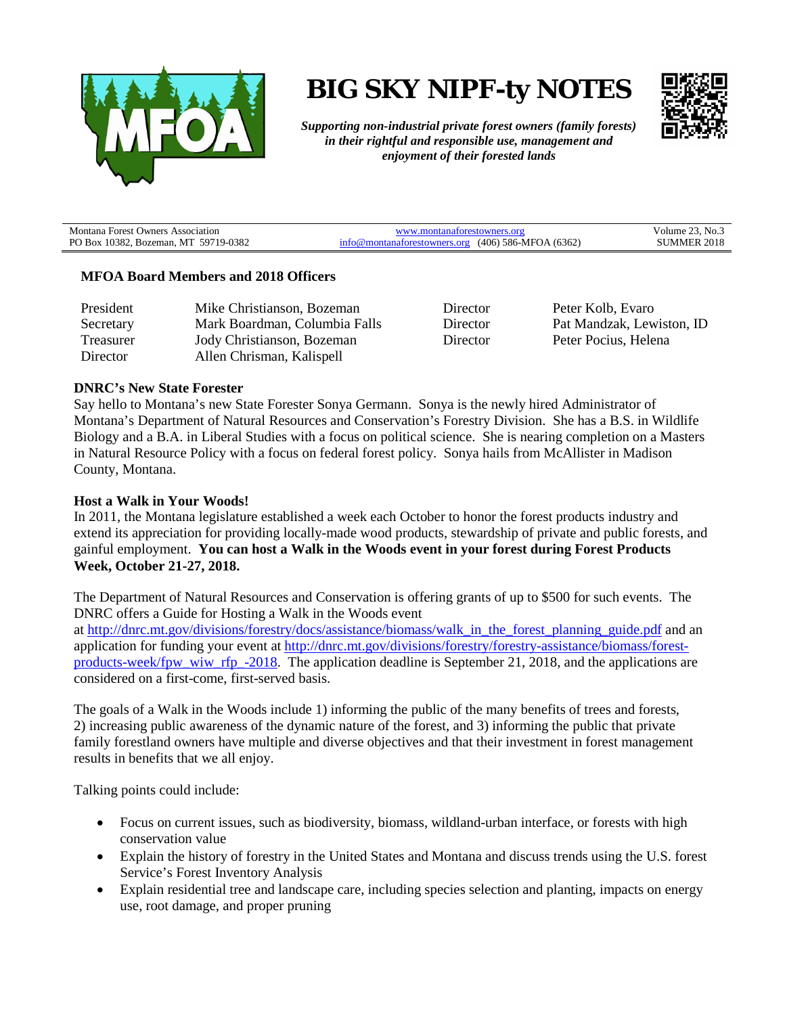

**BIG SKY NIPF-ty NOTES**



*Supporting non-industrial private forest owners (family forests) in their rightful and responsible use, management and enjoyment of their forested lands*

| Montana Forest Owners Association    | www.montanaforestowners.org                                 | Volume $23.$ No.   |
|--------------------------------------|-------------------------------------------------------------|--------------------|
| PO Box 10382, Bozeman, MT 59719-0382 | $\text{info@montanaforestowners.org}$ (406) 586-MFOA (6362) | <b>SUMMER 2018</b> |

### **MFOA Board Members and 2018 Officers**

| President | Mike Christianson, Bozeman    |
|-----------|-------------------------------|
| Secretary | Mark Boardman, Columbia Falls |
| Treasurer | Jody Christianson, Bozeman    |
| Director  | Allen Chrisman, Kalispell     |

Director Peter Kolb, Evaro Director Pat Mandzak, Lewiston, ID Director Peter Pocius, Helena

### **DNRC's New State Forester**

Say hello to Montana's new State Forester Sonya Germann. Sonya is the newly hired Administrator of Montana's Department of Natural Resources and Conservation's Forestry Division. She has a B.S. in Wildlife Biology and a B.A. in Liberal Studies with a focus on political science. She is nearing completion on a Masters in Natural Resource Policy with a focus on federal forest policy. Sonya hails from McAllister in Madison County, Montana.

#### **Host a Walk in Your Woods!**

In 2011, the Montana legislature established a week each October to honor the forest products industry and extend its appreciation for providing locally-made wood products, stewardship of private and public forests, and gainful employment. **You can host a Walk in the Woods event in your forest during Forest Products Week, October 21-27, 2018.**

The Department of Natural Resources and Conservation is offering grants of up to \$500 for such events. The DNRC offers a Guide for Hosting a Walk in the Woods event at [http://dnrc.mt.gov/divisions/forestry/docs/assistance/biomass/walk\\_in\\_the\\_forest\\_planning\\_guide.pdf](http://dnrc.mt.gov/divisions/forestry/docs/assistance/biomass/walk_in_the_forest_planning_guide.pdf) and an application for funding your event at [http://dnrc.mt.gov/divisions/forestry/forestry-assistance/biomass/forest](http://dnrc.mt.gov/divisions/forestry/forestry-assistance/biomass/forest-products-week/fpw_wiw_rfp_-2018)[products-week/fpw\\_wiw\\_rfp\\_-2018.](http://dnrc.mt.gov/divisions/forestry/forestry-assistance/biomass/forest-products-week/fpw_wiw_rfp_-2018) The application deadline is September 21, 2018, and the applications are considered on a first-come, first-served basis.

The goals of a Walk in the Woods include 1) informing the public of the many benefits of trees and forests, 2) increasing public awareness of the dynamic nature of the forest, and 3) informing the public that private family forestland owners have multiple and diverse objectives and that their investment in forest management results in benefits that we all enjoy.

Talking points could include:

- Focus on current issues, such as biodiversity, biomass, wildland-urban interface, or forests with high conservation value
- Explain the history of forestry in the United States and Montana and discuss trends using the U.S. forest Service's Forest Inventory Analysis
- Explain residential tree and landscape care, including species selection and planting, impacts on energy use, root damage, and proper pruning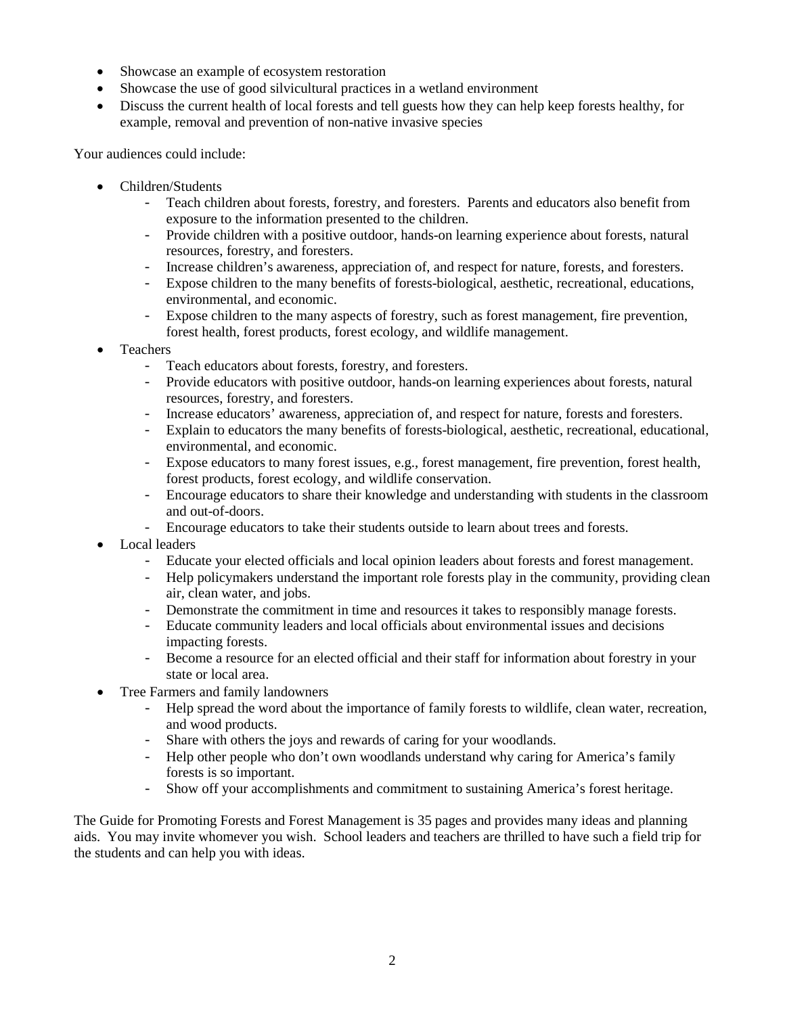- Showcase an example of ecosystem restoration
- Showcase the use of good silvicultural practices in a wetland environment
- Discuss the current health of local forests and tell guests how they can help keep forests healthy, for example, removal and prevention of non-native invasive species

Your audiences could include:

- Children/Students
	- Teach children about forests, forestry, and foresters. Parents and educators also benefit from exposure to the information presented to the children.
	- Provide children with a positive outdoor, hands-on learning experience about forests, natural resources, forestry, and foresters.
	- Increase children's awareness, appreciation of, and respect for nature, forests, and foresters.
	- Expose children to the many benefits of forests-biological, aesthetic, recreational, educations, environmental, and economic.
	- Expose children to the many aspects of forestry, such as forest management, fire prevention, forest health, forest products, forest ecology, and wildlife management.
- Teachers
	- Teach educators about forests, forestry, and foresters.<br>- Provide educators with positive outdoor, hands-on lea
	- Provide educators with positive outdoor, hands-on learning experiences about forests, natural resources, forestry, and foresters.
	- Increase educators' awareness, appreciation of, and respect for nature, forests and foresters.<br>- Explain to educators the many benefits of forests-biological, aesthetic, recreational, education
	- Explain to educators the many benefits of forests-biological, aesthetic, recreational, educational, environmental, and economic.
	- Expose educators to many forest issues, e.g., forest management, fire prevention, forest health, forest products, forest ecology, and wildlife conservation.
	- Encourage educators to share their knowledge and understanding with students in the classroom and out-of-doors.
	- Encourage educators to take their students outside to learn about trees and forests.
- Local leaders
	- Educate your elected officials and local opinion leaders about forests and forest management.<br>- Help policymakers understand the important role forests play in the community, providing clea
	- Help policymakers understand the important role forests play in the community, providing clean air, clean water, and jobs.
	- Demonstrate the commitment in time and resources it takes to responsibly manage forests.<br>- Educate community leaders and local officials about environmental issues and decisions
	- Educate community leaders and local officials about environmental issues and decisions impacting forests.
	- Become a resource for an elected official and their staff for information about forestry in your state or local area.
- Tree Farmers and family landowners
	- Help spread the word about the importance of family forests to wildlife, clean water, recreation, and wood products.
	- Share with others the joys and rewards of caring for your woodlands.<br>- Help other people who don't own woodlands understand why caring f
	- Help other people who don't own woodlands understand why caring for America's family forests is so important.
	- Show off your accomplishments and commitment to sustaining America's forest heritage.

The Guide for Promoting Forests and Forest Management is 35 pages and provides many ideas and planning aids. You may invite whomever you wish. School leaders and teachers are thrilled to have such a field trip for the students and can help you with ideas.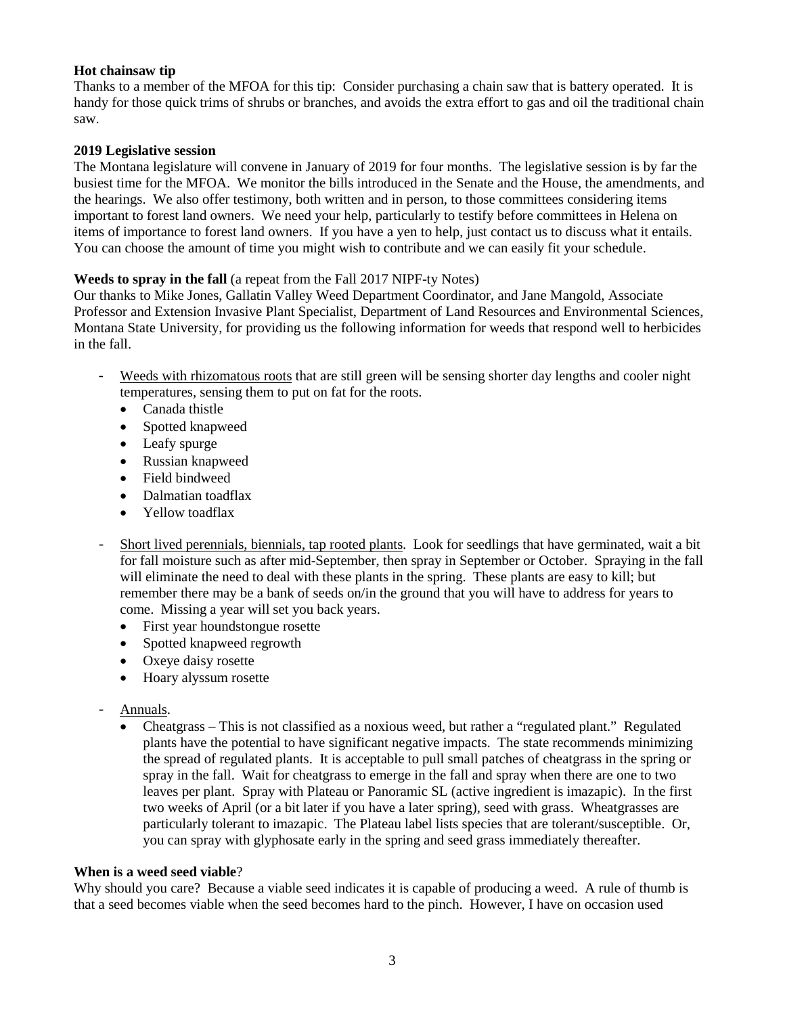## **Hot chainsaw tip**

Thanks to a member of the MFOA for this tip: Consider purchasing a chain saw that is battery operated. It is handy for those quick trims of shrubs or branches, and avoids the extra effort to gas and oil the traditional chain saw.

### **2019 Legislative session**

The Montana legislature will convene in January of 2019 for four months. The legislative session is by far the busiest time for the MFOA. We monitor the bills introduced in the Senate and the House, the amendments, and the hearings. We also offer testimony, both written and in person, to those committees considering items important to forest land owners. We need your help, particularly to testify before committees in Helena on items of importance to forest land owners. If you have a yen to help, just contact us to discuss what it entails. You can choose the amount of time you might wish to contribute and we can easily fit your schedule.

## **Weeds to spray in the fall** (a repeat from the Fall 2017 NIPF-ty Notes)

Our thanks to Mike Jones, Gallatin Valley Weed Department Coordinator, and Jane Mangold, Associate Professor and Extension Invasive Plant Specialist, Department of Land Resources and Environmental Sciences, Montana State University, for providing us the following information for weeds that respond well to herbicides in the fall.

- Weeds with rhizomatous roots that are still green will be sensing shorter day lengths and cooler night temperatures, sensing them to put on fat for the roots.
	- Canada thistle
	- Spotted knapweed
	- Leafy spurge
	- Russian knapweed
	- Field bindweed
	- Dalmatian toadflax
	- Yellow toadflax
- Short lived perennials, biennials, tap rooted plants. Look for seedlings that have germinated, wait a bit for fall moisture such as after mid-September, then spray in September or October. Spraying in the fall will eliminate the need to deal with these plants in the spring. These plants are easy to kill; but remember there may be a bank of seeds on/in the ground that you will have to address for years to come. Missing a year will set you back years.
	- First year houndstongue rosette
	- Spotted knapweed regrowth
	- Oxeye daisy rosette
	- Hoary alyssum rosette
- Annuals.
	- Cheatgrass This is not classified as a noxious weed, but rather a "regulated plant." Regulated plants have the potential to have significant negative impacts. The state recommends minimizing the spread of regulated plants. It is acceptable to pull small patches of cheatgrass in the spring or spray in the fall. Wait for cheatgrass to emerge in the fall and spray when there are one to two leaves per plant. Spray with Plateau or Panoramic SL (active ingredient is imazapic). In the first two weeks of April (or a bit later if you have a later spring), seed with grass. Wheatgrasses are particularly tolerant to imazapic. The Plateau label lists species that are tolerant/susceptible. Or, you can spray with glyphosate early in the spring and seed grass immediately thereafter.

#### **When is a weed seed viable**?

Why should you care? Because a viable seed indicates it is capable of producing a weed. A rule of thumb is that a seed becomes viable when the seed becomes hard to the pinch. However, I have on occasion used